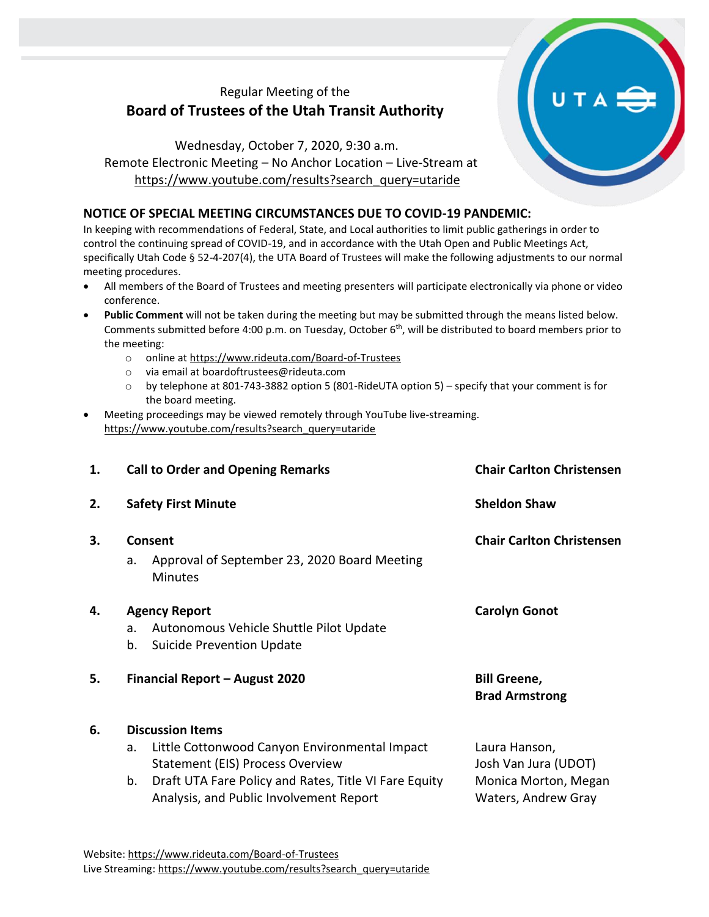# Regular Meeting of the **Board of Trustees of the Utah Transit Authority**

Wednesday, October 7, 2020, 9:30 a.m. Remote Electronic Meeting – No Anchor Location – Live-Stream at [https://www.youtube.com/results?search\\_query=utaride](https://www.youtube.com/results?search_query=utaride)

### **NOTICE OF SPECIAL MEETING CIRCUMSTANCES DUE TO COVID-19 PANDEMIC:**

In keeping with recommendations of Federal, State, and Local authorities to limit public gatherings in order to control the continuing spread of COVID-19, and in accordance with the Utah Open and Public Meetings Act, specifically Utah Code § 52-4-207(4), the UTA Board of Trustees will make the following adjustments to our normal meeting procedures.

- All members of the Board of Trustees and meeting presenters will participate electronically via phone or video conference.
- **Public Comment** will not be taken during the meeting but may be submitted through the means listed below. Comments submitted before 4:00 p.m. on Tuesday, October 6<sup>th</sup>, will be distributed to board members prior to the meeting:
	- o online at<https://www.rideuta.com/Board-of-Trustees>
	- o via email at [boardoftrustees@rideuta.com](mailto:boardoftrustees@rideuta.com)
	- o by telephone at 801-743-3882 option 5 (801-RideUTA option 5) specify that your comment is for the board meeting.
- Meeting proceedings may be viewed remotely through YouTube live-streaming. [https://www.youtube.com/results?search\\_query=utaride](https://www.youtube.com/results?search_query=utaride)

| 1. | <b>Call to Order and Opening Remarks</b> |                                                                                                  | <b>Chair Carlton Christensen</b>             |  |  |
|----|------------------------------------------|--------------------------------------------------------------------------------------------------|----------------------------------------------|--|--|
| 2. | <b>Safety First Minute</b>               |                                                                                                  | <b>Sheldon Shaw</b>                          |  |  |
| 3. | Consent                                  |                                                                                                  | <b>Chair Carlton Christensen</b>             |  |  |
|    | a.                                       | Approval of September 23, 2020 Board Meeting<br><b>Minutes</b>                                   |                                              |  |  |
| 4. | <b>Agency Report</b>                     |                                                                                                  | <b>Carolyn Gonot</b>                         |  |  |
|    | a.                                       | Autonomous Vehicle Shuttle Pilot Update                                                          |                                              |  |  |
|    | b.                                       | Suicide Prevention Update                                                                        |                                              |  |  |
| 5. | Financial Report - August 2020           |                                                                                                  | <b>Bill Greene,</b><br><b>Brad Armstrong</b> |  |  |
| 6. | <b>Discussion Items</b>                  |                                                                                                  |                                              |  |  |
|    | a.                                       | Little Cottonwood Canyon Environmental Impact<br><b>Statement (EIS) Process Overview</b>         | Laura Hanson,<br>Josh Van Jura (UDOT)        |  |  |
|    | b.                                       | Draft UTA Fare Policy and Rates, Title VI Fare Equity<br>Analysis, and Public Involvement Report | Monica Morton, Megan<br>Waters, Andrew Gray  |  |  |